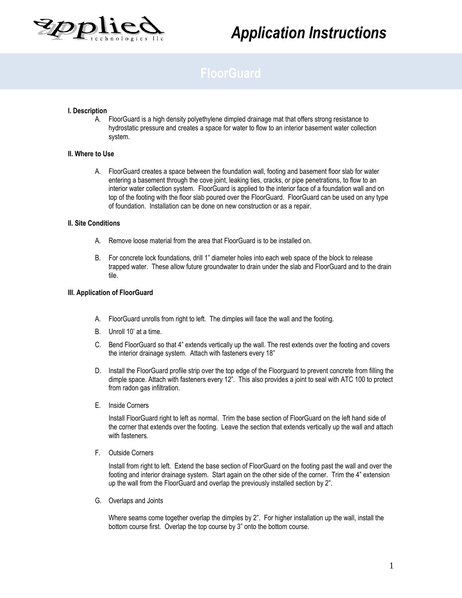

# *Application Instructions*

# **I. Description**

A. FloorGuard is a high density polyethylene dimpled drainage mat that offers strong resistance to hydrostatic pressure and creates a space for water to flow to an interior basement water collection system.

## **II. Where to Use**

A. FloorGuard creates a space between the foundation wall, footing and basement floor slab for water entering a basement through the cove joint, leaking ties, cracks, or pipe penetrations, to flow to an interior water collection system. FloorGuard is applied to the interior face of a foundation wall and on top of the footing with the floor slab poured over the FloorGuard. FloorGuard can be used on any type of foundation. Installation can be done on new construction or as a repair.

#### **II. Site Conditions**

- A. Remove loose material from the area that FloorGuard is to be installed on.
- B. For concrete lock foundations, drill 1" diameter holes into each web space of the block to release trapped water. These allow future groundwater to drain under the slab and FloorGuard and to the drain tile.

### **III. Application of FloorGuard**

- A. FloorGuard unrolls from right to left. The dimples will face the wall and the footing.
- B. Unroll 10' at a time.
- C. Bend FloorGuard so that 4" extends vertically up the wall. The rest extends over the footing and covers the interior drainage system. Attach with fasteners every 18"
- D. Install the FloorGuard profile strip over the top edge of the Floorguard to prevent concrete from filling the dimple space. Attach with fasteners every 12". This also provides a joint to seal with ATC 100 to protect from radon gas infiltration.
- E. Inside Corners

Install FloorGuard right to left as normal. Trim the base section of FloorGuard on the left hand side of the corner that extends over the footing. Leave the section that extends vertically up the wall and attach with fasteners.

F. Outside Corners

Install from right to left. Extend the base section of FloorGuard on the footing past the wall and over the footing and interior drainage system. Start again on the other side of the corner. Trim the 4" extension up the wall from the FloorGuard and overlap the previously installed section by 2".

G. Overlaps and Joints

Where seams come together overlap the dimples by 2". For higher installation up the wall, install the bottom course first. Overlap the top course by 3" onto the bottom course.